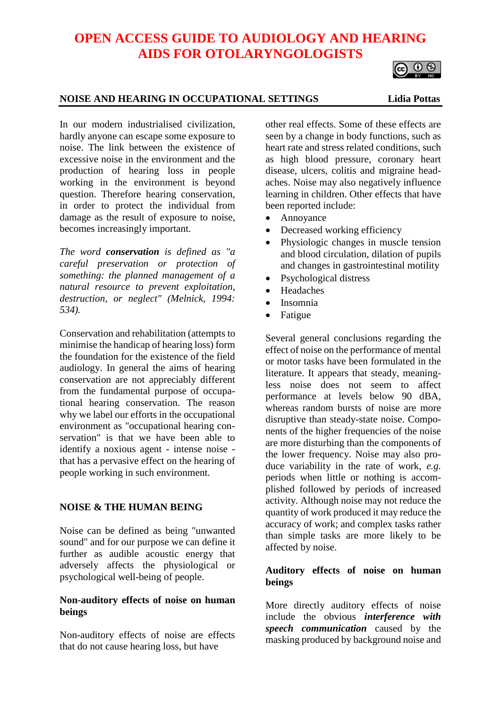# **OPEN ACCESS GUIDE TO AUDIOLOGY AND HEARING AIDS FOR OTOLARYNGOLOGISTS**

#### **NOISE AND HEARING IN OCCUPATIONAL SETTINGS Lidia Pottas**

ര 0 ®

In our modern industrialised civilization, hardly anyone can escape some exposure to noise. The link between the existence of excessive noise in the environment and the production of hearing loss in people working in the environment is beyond question. Therefore hearing conservation, in order to protect the individual from damage as the result of exposure to noise, becomes increasingly important.

*The word conservation is defined as "a careful preservation or protection of something: the planned management of a natural resource to prevent exploitation, destruction, or neglect" (Melnick, 1994: 534).*

Conservation and rehabilitation (attempts to minimise the handicap of hearing loss) form the foundation for the existence of the field audiology. In general the aims of hearing conservation are not appreciably different from the fundamental purpose of occupational hearing conservation. The reason why we label our efforts in the occupational environment as "occupational hearing conservation" is that we have been able to identify a noxious agent - intense noise that has a pervasive effect on the hearing of people working in such environment.

## **NOISE & THE HUMAN BEING**

Noise can be defined as being "unwanted sound" and for our purpose we can define it further as audible acoustic energy that adversely affects the physiological or psychological well-being of people.

## **Non-auditory effects of noise on human beings**

Non-auditory effects of noise are effects that do not cause hearing loss, but have

other real effects. Some of these effects are seen by a change in body functions, such as heart rate and stress related conditions, such as high blood pressure, coronary heart disease, ulcers, colitis and migraine headaches. Noise may also negatively influence learning in children. Other effects that have been reported include:

- Annoyance
- Decreased working efficiency
- Physiologic changes in muscle tension and blood circulation, dilation of pupils and changes in gastrointestinal motility
- Psychological distress
- **Headaches**
- Insomnia
- Fatigue

Several general conclusions regarding the effect of noise on the performance of mental or motor tasks have been formulated in the literature. It appears that steady, meaningless noise does not seem to affect performance at levels below 90 dBA, whereas random bursts of noise are more disruptive than steady-state noise. Components of the higher frequencies of the noise are more disturbing than the components of the lower frequency. Noise may also produce variability in the rate of work, *e.g.* periods when little or nothing is accomplished followed by periods of increased activity. Although noise may not reduce the quantity of work produced it may reduce the accuracy of work; and complex tasks rather than simple tasks are more likely to be affected by noise.

## **Auditory effects of noise on human beings**

More directly auditory effects of noise include the obvious *interference with speech communication* caused by the masking produced by background noise and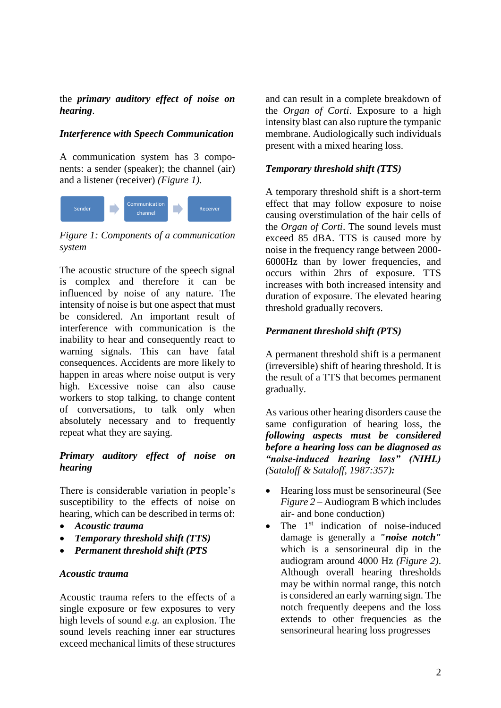#### the *primary auditory effect of noise on hearing*.

# *Interference with Speech Communication*

A communication system has 3 components: a sender (speaker); the channel (air) and a listener (receiver) *(Figure 1).*



*Figure 1: Components of a communication system*

The acoustic structure of the speech signal is complex and therefore it can be influenced by noise of any nature. The intensity of noise is but one aspect that must be considered. An important result of interference with communication is the inability to hear and consequently react to warning signals. This can have fatal consequences. Accidents are more likely to happen in areas where noise output is very high. Excessive noise can also cause workers to stop talking, to change content of conversations, to talk only when absolutely necessary and to frequently repeat what they are saying.

# *Primary auditory effect of noise on hearing*

There is considerable variation in people's susceptibility to the effects of noise on hearing, which can be described in terms of:

- *Acoustic trauma*
- *Temporary threshold shift (TTS)*
- *Permanent threshold shift (PTS*

## *Acoustic trauma*

Acoustic trauma refers to the effects of a single exposure or few exposures to very high levels of sound *e.g.* an explosion. The sound levels reaching inner ear structures exceed mechanical limits of these structures

and can result in a complete breakdown of the *Organ of Corti*. Exposure to a high intensity blast can also rupture the tympanic membrane. Audiologically such individuals present with a mixed hearing loss.

#### *Temporary threshold shift (TTS)*

A temporary threshold shift is a short-term effect that may follow exposure to noise causing overstimulation of the hair cells of the *Organ of Corti*. The sound levels must exceed 85 dBA. TTS is caused more by noise in the frequency range between 2000- 6000Hz than by lower frequencies, and occurs within 2hrs of exposure. TTS increases with both increased intensity and duration of exposure. The elevated hearing threshold gradually recovers.

## *Permanent threshold shift (PTS)*

A permanent threshold shift is a permanent (irreversible) shift of hearing threshold. It is the result of a TTS that becomes permanent gradually.

As various other hearing disorders cause the same configuration of hearing loss, the *following aspects must be considered before a hearing loss can be diagnosed as "noise-induced hearing loss" (NIHL) (Sataloff & Sataloff, 1987:357):*

- Hearing loss must be sensorineural (See *Figure 2* – Audiogram B which includes air- and bone conduction)
- The 1<sup>st</sup> indication of noise-induced damage is generally a *"noise notch"* which is a sensorineural dip in the audiogram around 4000 Hz *(Figure 2)*. Although overall hearing thresholds may be within normal range, this notch is considered an early warning sign. The notch frequently deepens and the loss extends to other frequencies as the sensorineural hearing loss progresses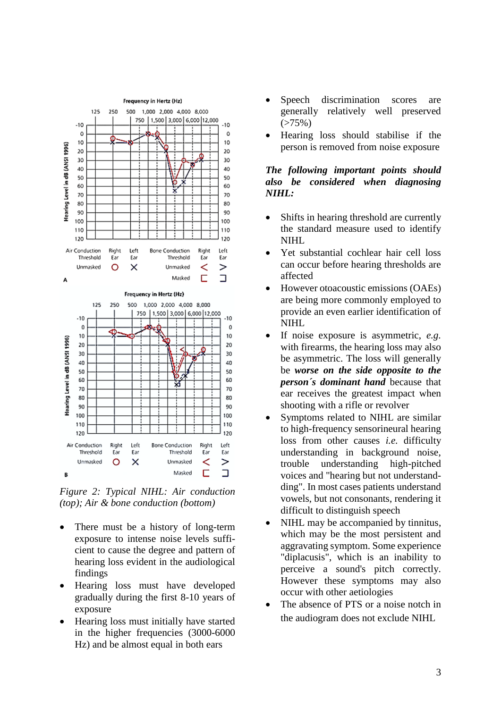

*Figure 2: Typical NIHL: Air conduction (top); Air & bone conduction (bottom)*

- There must be a history of long-term exposure to intense noise levels sufficient to cause the degree and pattern of hearing loss evident in the audiological findings
- Hearing loss must have developed gradually during the first 8-10 years of exposure
- Hearing loss must initially have started in the higher frequencies (3000-6000 Hz) and be almost equal in both ears
- Speech discrimination scores are generally relatively well preserved  $(>75\%)$
- Hearing loss should stabilise if the person is removed from noise exposure

#### *The following important points should also be considered when diagnosing NIHL:*

- Shifts in hearing threshold are currently the standard measure used to identify NIHL
- Yet substantial cochlear hair cell loss can occur before hearing thresholds are affected
- However otoacoustic emissions (OAEs) are being more commonly employed to provide an even earlier identification of NIHL
- If noise exposure is asymmetric, *e.g.* with firearms, the hearing loss may also be asymmetric. The loss will generally be *worse on the side opposite to the person´s dominant hand* because that ear receives the greatest impact when shooting with a rifle or revolver
- Symptoms related to NIHL are similar to high-frequency sensorineural hearing loss from other causes *i.e.* difficulty understanding in background noise, trouble understanding high-pitched voices and "hearing but not understandding". In most cases patients understand vowels, but not consonants, rendering it difficult to distinguish speech
- NIHL may be accompanied by tinnitus, which may be the most persistent and aggravating symptom. Some experience "diplacusis", which is an inability to perceive a sound's pitch correctly. However these symptoms may also occur with other aetiologies
- The absence of PTS or a noise notch in the audiogram does not exclude NIHL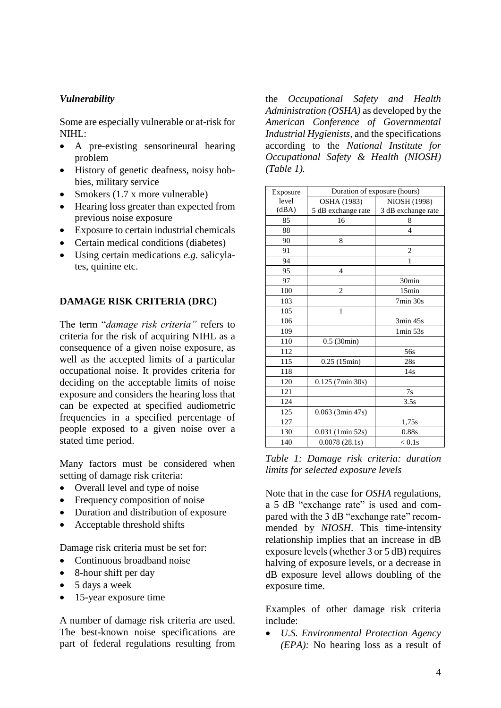## *Vulnerability*

Some are especially vulnerable or at-risk for NIHL:

- A pre-existing sensorineural hearing problem
- History of genetic deafness, noisy hobbies, military service
- Smokers (1.7 x more vulnerable)
- Hearing loss greater than expected from previous noise exposure
- Exposure to certain industrial chemicals
- Certain medical conditions (diabetes)
- Using certain medications *e.g.* salicylates, quinine etc.

## **DAMAGE RISK CRITERIA (DRC)**

The term "*damage risk criteria"* refers to criteria for the risk of acquiring NIHL as a consequence of a given noise exposure, as well as the accepted limits of a particular occupational noise. It provides criteria for deciding on the acceptable limits of noise exposure and considers the hearing loss that can be expected at specified audiometric frequencies in a specified percentage of people exposed to a given noise over a stated time period.

Many factors must be considered when setting of damage risk criteria:

- Overall level and type of noise
- Frequency composition of noise
- Duration and distribution of exposure
- Acceptable threshold shifts

Damage risk criteria must be set for:

- Continuous broadband noise
- 8-hour shift per day
- 5 days a week
- 15-year exposure time

A number of damage risk criteria are used. The best-known noise specifications are part of federal regulations resulting from the *Occupational Safety and Health Administration (OSHA)* as developed by the *American Conference of Governmental Industrial Hygienists,* and the specifications according to the *National Institute for Occupational Safety & Health (NIOSH) (Table 1).*

| Exposure | Duration of exposure (hours) |                         |
|----------|------------------------------|-------------------------|
| level    | OSHA (1983)                  | NIOSH (1998)            |
| (dBA)    | 5 dB exchange rate           | 3 dB exchange rate      |
| 85       | 16                           | 8                       |
| 88       |                              | 4                       |
| 90       | 8                            |                         |
| 91       |                              | $\overline{\mathbf{c}}$ |
| 94       |                              | 1                       |
| 95       | 4                            |                         |
| 97       |                              | 30min                   |
| 100      | 2                            | 15min                   |
| 103      |                              | $7min$ 30s              |
| 105      | 1                            |                         |
| 106      |                              | 3min 45s                |
| 109      |                              | 1min 53s                |
| 110      | 0.5(30min)                   |                         |
| 112      |                              | 56s                     |
| 115      | 0.25(15min)                  | 28s                     |
| 118      |                              | 14s                     |
| 120      | $0.125$ (7min 30s)           |                         |
| 121      |                              | 7s                      |
| 124      |                              | 3.5s                    |
| 125      | $0.063$ (3min 47s)           |                         |
| 127      |                              | 1,75s                   |
| 130      | $0.031$ (1min 52s)           | 0.88s                   |
| 140      | 0.0078(28.1s)                | < 0.1s                  |

*Table 1: Damage risk criteria: duration limits for selected exposure levels*

Note that in the case for *OSHA* regulations, a 5 dB "exchange rate" is used and compared with the 3 dB "exchange rate" recommended by *NIOSH*. This time-intensity relationship implies that an increase in dB exposure levels (whether 3 or 5 dB) requires halving of exposure levels, or a decrease in dB exposure level allows doubling of the exposure time.

Examples of other damage risk criteria include:

• *U.S. Environmental Protection Agency (EPA):* No hearing loss as a result of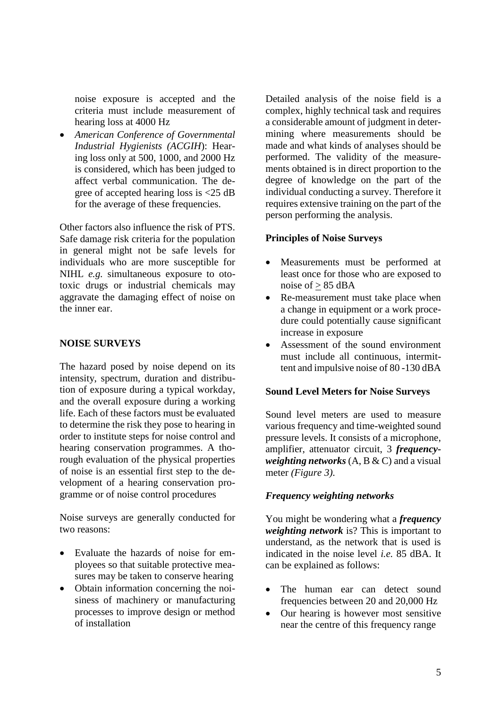noise exposure is accepted and the criteria must include measurement of hearing loss at 4000 Hz

• *American Conference of Governmental Industrial Hygienists (ACGIH*): Hearing loss only at 500, 1000, and 2000 Hz is considered, which has been judged to affect verbal communication. The degree of accepted hearing loss is <25 dB for the average of these frequencies.

Other factors also influence the risk of PTS. Safe damage risk criteria for the population in general might not be safe levels for individuals who are more susceptible for NIHL *e.g.* simultaneous exposure to ototoxic drugs or industrial chemicals may aggravate the damaging effect of noise on the inner ear.

#### **NOISE SURVEYS**

The hazard posed by noise depend on its intensity, spectrum, duration and distribution of exposure during a typical workday, and the overall exposure during a working life. Each of these factors must be evaluated to determine the risk they pose to hearing in order to institute steps for noise control and hearing conservation programmes. A thorough evaluation of the physical properties of noise is an essential first step to the development of a hearing conservation programme or of noise control procedures

Noise surveys are generally conducted for two reasons:

- Evaluate the hazards of noise for employees so that suitable protective measures may be taken to conserve hearing
- Obtain information concerning the noisiness of machinery or manufacturing processes to improve design or method of installation

Detailed analysis of the noise field is a complex, highly technical task and requires a considerable amount of judgment in determining where measurements should be made and what kinds of analyses should be performed. The validity of the measurements obtained is in direct proportion to the degree of knowledge on the part of the individual conducting a survey. Therefore it requires extensive training on the part of the person performing the analysis.

#### **Principles of Noise Surveys**

- Measurements must be performed at least once for those who are exposed to noise of  $\geq$  85 dBA
- Re-measurement must take place when a change in equipment or a work procedure could potentially cause significant increase in exposure
- Assessment of the sound environment must include all continuous, intermittent and impulsive noise of 80 -130 dBA

#### **Sound Level Meters for Noise Surveys**

Sound level meters are used to measure various frequency and time-weighted sound pressure levels. It consists of a microphone, amplifier, attenuator circuit, 3 *frequencyweighting networks* (A, B & C) and a visual meter *(Figure 3)*.

## *Frequency weighting networks*

You might be wondering what a *frequency weighting network* is? This is important to understand, as the network that is used is indicated in the noise level *i.e.* 85 dBA. It can be explained as follows:

- The human ear can detect sound frequencies between 20 and 20,000 Hz
- Our hearing is however most sensitive near the centre of this frequency range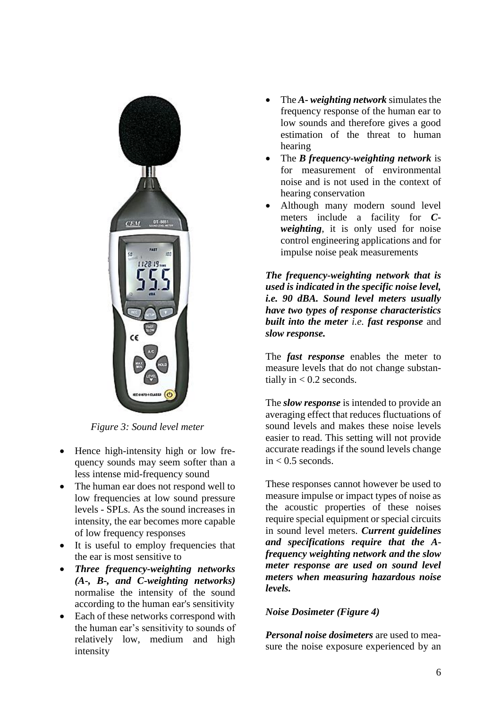

*Figure 3: Sound level meter*

- Hence high-intensity high or low frequency sounds may seem softer than a less intense mid-frequency sound
- The human ear does not respond well to low frequencies at low sound pressure levels - SPLs. As the sound increases in intensity, the ear becomes more capable of low frequency responses
- It is useful to employ frequencies that the ear is most sensitive to
- *Three frequency-weighting networks (A-, B-, and C-weighting networks)* normalise the intensity of the sound according to the human ear's sensitivity
- Each of these networks correspond with the human ear's sensitivity to sounds of relatively low, medium and high intensity
- The *A- weighting network* simulates the frequency response of the human ear to low sounds and therefore gives a good estimation of the threat to human hearing
- The *B frequency-weighting network* is for measurement of environmental noise and is not used in the context of hearing conservation
- Although many modern sound level meters include a facility for *Cweighting*, it is only used for noise control engineering applications and for impulse noise peak measurements

*The frequency-weighting network that is used is indicated in the specific noise level, i.e. 90 dBA. Sound level meters usually have two types of response characteristics built into the meter i.e. fast response* and *slow response.*

The *fast response* enables the meter to measure levels that do not change substantially in  $< 0.2$  seconds.

The *slow response* is intended to provide an averaging effect that reduces fluctuations of sound levels and makes these noise levels easier to read. This setting will not provide accurate readings if the sound levels change  $in < 0.5$  seconds.

These responses cannot however be used to measure impulse or impact types of noise as the acoustic properties of these noises require special equipment or special circuits in sound level meters. *Current guidelines and specifications require that the Afrequency weighting network and the slow meter response are used on sound level meters when measuring hazardous noise levels.*

## *Noise Dosimeter (Figure 4)*

*Personal noise dosimeters* are used to measure the noise exposure experienced by an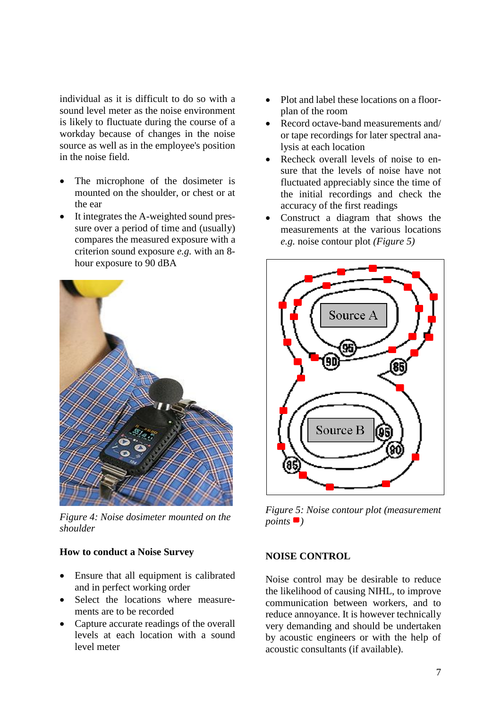individual as it is difficult to do so with a sound level meter as the noise environment is likely to fluctuate during the course of a workday because of changes in the noise source as well as in the employee's position in the noise field.

- The microphone of the dosimeter is mounted on the shoulder, or chest or at the ear
- It integrates the A-weighted sound pressure over a period of time and (usually) compares the measured exposure with a criterion sound exposure *e.g.* with an 8 hour exposure to 90 dBA



*Figure 4: Noise dosimeter mounted on the shoulder*

#### **How to conduct a Noise Survey**

- Ensure that all equipment is calibrated and in perfect working order
- Select the locations where measurements are to be recorded
- Capture accurate readings of the overall levels at each location with a sound level meter
- Plot and label these locations on a floorplan of the room
- Record octave-band measurements and/ or tape recordings for later spectral analysis at each location
- Recheck overall levels of noise to ensure that the levels of noise have not fluctuated appreciably since the time of the initial recordings and check the accuracy of the first readings
- Construct a diagram that shows the measurements at the various locations *e.g.* noise contour plot *(Figure 5)*



*Figure 5: Noise contour plot (measurement*   $points$ <sup> $\blacksquare$ </sup>)

#### **NOISE CONTROL**

Noise control may be desirable to reduce the likelihood of causing NIHL, to improve communication between workers, and to reduce annoyance. It is however technically very demanding and should be undertaken by acoustic engineers or with the help of acoustic consultants (if available).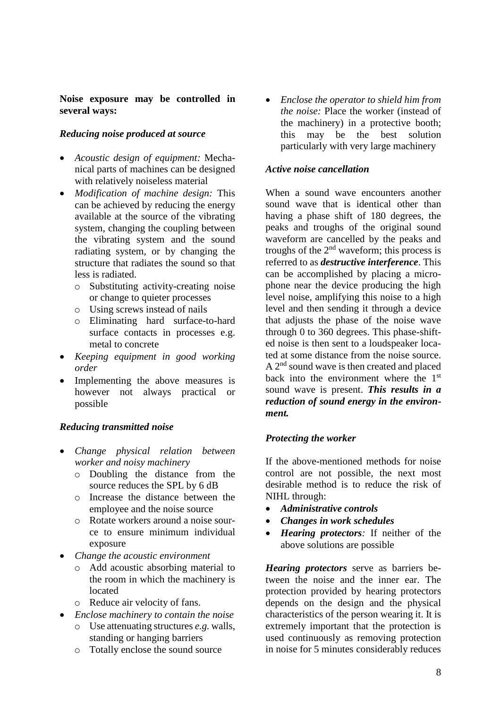#### **Noise exposure may be controlled in several ways:**

## *Reducing noise produced at source*

- *Acoustic design of equipment:* Mechanical parts of machines can be designed with relatively noiseless material
- *Modification of machine design:* This can be achieved by reducing the energy available at the source of the vibrating system, changing the coupling between the vibrating system and the sound radiating system, or by changing the structure that radiates the sound so that less is radiated.
	- o Substituting activity-creating noise or change to quieter processes
	- o Using screws instead of nails
	- o Eliminating hard surface-to-hard surface contacts in processes e.g. metal to concrete
- *Keeping equipment in good working order*
- Implementing the above measures is however not always practical or possible

## *Reducing transmitted noise*

- *Change physical relation between worker and noisy machinery*
	- o Doubling the distance from the source reduces the SPL by 6 dB
	- o Increase the distance between the employee and the noise source
	- o Rotate workers around a noise source to ensure minimum individual exposure
- *Change the acoustic environment*
	- o Add acoustic absorbing material to the room in which the machinery is located
	- o Reduce air velocity of fans.
- *Enclose machinery to contain the noise*
	- o Use attenuating structures *e.g.* walls, standing or hanging barriers
	- o Totally enclose the sound source

• *Enclose the operator to shield him from the noise:* Place the worker (instead of the machinery) in a protective booth; this may be the best solution particularly with very large machinery

#### *Active noise cancellation*

When a sound wave encounters another sound wave that is identical other than having a phase shift of 180 degrees, the peaks and troughs of the original sound waveform are cancelled by the peaks and troughs of the  $2<sup>nd</sup>$  waveform; this process is referred to as *destructive interference*. This can be accomplished by placing a microphone near the device producing the high level noise, amplifying this noise to a high level and then sending it through a device that adjusts the phase of the noise wave through 0 to 360 degrees. This phase-shifted noise is then sent to a loudspeaker located at some distance from the noise source. A 2<sup>nd</sup> sound wave is then created and placed back into the environment where the 1<sup>st</sup> sound wave is present. *This results in a reduction of sound energy in the environment.*

## *Protecting the worker*

If the above-mentioned methods for noise control are not possible, the next most desirable method is to reduce the risk of NIHL through:

- *Administrative controls*
- *Changes in work schedules*
- *Hearing protectors:* If neither of the above solutions are possible

*Hearing protectors* serve as barriers between the noise and the inner ear. The protection provided by hearing protectors depends on the design and the physical characteristics of the person wearing it. It is extremely important that the protection is used continuously as removing protection in noise for 5 minutes considerably reduces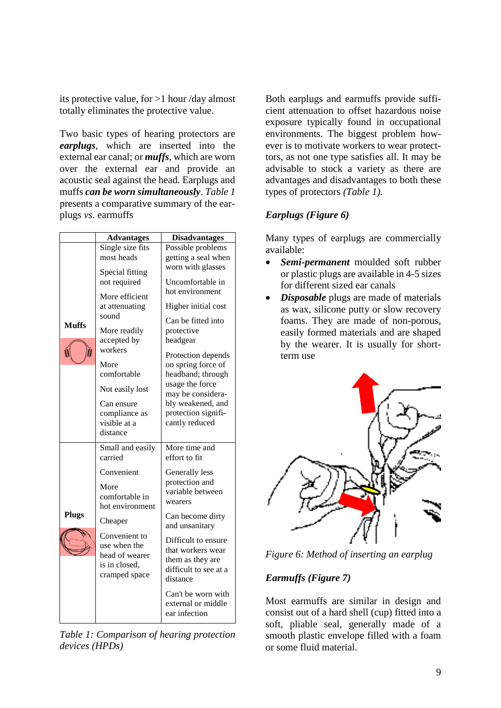its protective value, for >1 hour /day almost totally eliminates the protective value.

Two basic types of hearing protectors are *earplugs*, which are inserted into the external ear canal; or *muffs*, which are worn over the external ear and provide an acoustic seal against the head. Earplugs and muffs *can be worn simultaneously*. *Table 1*  presents a comparative summary of the earplugs *vs.* earmuffs

|              | <b>Advantages</b>                                                                                                                                                                                                                                 | <b>Disadvantages</b>                                                                                                                                                                                                                                                                                                                               |
|--------------|---------------------------------------------------------------------------------------------------------------------------------------------------------------------------------------------------------------------------------------------------|----------------------------------------------------------------------------------------------------------------------------------------------------------------------------------------------------------------------------------------------------------------------------------------------------------------------------------------------------|
| <b>Muffs</b> | Single size fits<br>most heads<br>Special fitting<br>not required<br>More efficient<br>at attenuating<br>sound<br>More readily<br>accepted by<br>workers<br>More<br>comfortable<br>Not easily lost<br>Can ensure<br>compliance as<br>visible at a | Possible problems<br>getting a seal when<br>worn with glasses<br>Uncomfortable in<br>hot environment<br>Higher initial cost<br>Can be fitted into<br>protective<br>headgear<br>Protection depends<br>on spring force of<br>headband; through<br>usage the force<br>may be considera-<br>bly weakened, and<br>protection signifi-<br>cantly reduced |
| <b>Plugs</b> | distance<br>Small and easily<br>carried<br>Convenient<br>More<br>comfortable in<br>hot environment<br>Cheaper<br>Convenient to<br>use when the<br>head of wearer<br>is in closed,<br>cramped space                                                | More time and<br>effort to fit<br>Generally less<br>protection and<br>variable between<br>wearers<br>Can become dirty<br>and unsanitary<br>Difficult to ensure<br>that workers wear<br>them as they are<br>difficult to see at a<br>distance<br>Can't be worn with<br>external or middle<br>ear infection                                          |

*Table 1: Comparison of hearing protection devices (HPDs)*

Both earplugs and earmuffs provide sufficient attenuation to offset hazardous noise exposure typically found in occupational environments. The biggest problem however is to motivate workers to wear protecttors, as not one type satisfies all. It may be advisable to stock a variety as there are advantages and disadvantages to both these types of protectors *(Table 1).*

# *Earplugs (Figure 6)*

Many types of earplugs are commercially available:

- *Semi-permanent* moulded soft rubber or plastic plugs are available in 4-5 sizes for different sized ear canals
- *Disposable* plugs are made of materials as wax, silicone putty or slow recovery foams. They are made of non-porous, easily formed materials and are shaped by the wearer. It is usually for shortterm use



*Figure 6: Method of inserting an earplug*

# *Earmuffs (Figure 7)*

Most earmuffs are similar in design and consist out of a hard shell (cup) fitted into a soft, pliable seal, generally made of a smooth plastic envelope filled with a foam or some fluid material.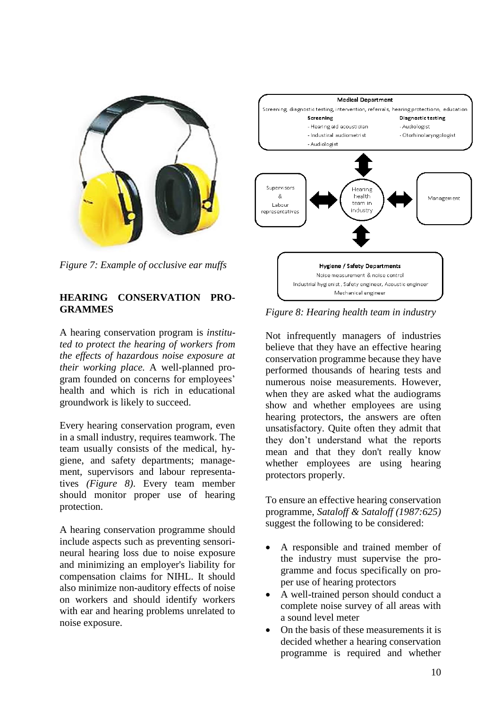

*Figure 7: Example of occlusive ear muffs*

#### **HEARING CONSERVATION PRO-GRAMMES**

A hearing conservation program is *instituted to protect the hearing of workers from the effects of hazardous noise exposure at their working place.* A well-planned program founded on concerns for employees' health and which is rich in educational groundwork is likely to succeed.

Every hearing conservation program, even in a small industry, requires teamwork. The team usually consists of the medical, hygiene, and safety departments; management, supervisors and labour representatives *(Figure 8)*. Every team member should monitor proper use of hearing protection.

A hearing conservation programme should include aspects such as preventing sensorineural hearing loss due to noise exposure and minimizing an employer's liability for compensation claims for NIHL. It should also minimize non-auditory effects of noise on workers and should identify workers with ear and hearing problems unrelated to noise exposure.



*Figure 8: Hearing health team in industry*

Not infrequently managers of industries believe that they have an effective hearing conservation programme because they have performed thousands of hearing tests and numerous noise measurements. However, when they are asked what the audiograms show and whether employees are using hearing protectors, the answers are often unsatisfactory. Quite often they admit that they don't understand what the reports mean and that they don't really know whether employees are using hearing protectors properly.

To ensure an effective hearing conservation programme, *Sataloff & Sataloff (1987:625)* suggest the following to be considered:

- A responsible and trained member of the industry must supervise the programme and focus specifically on proper use of hearing protectors
- A well-trained person should conduct a complete noise survey of all areas with a sound level meter
- On the basis of these measurements it is decided whether a hearing conservation programme is required and whether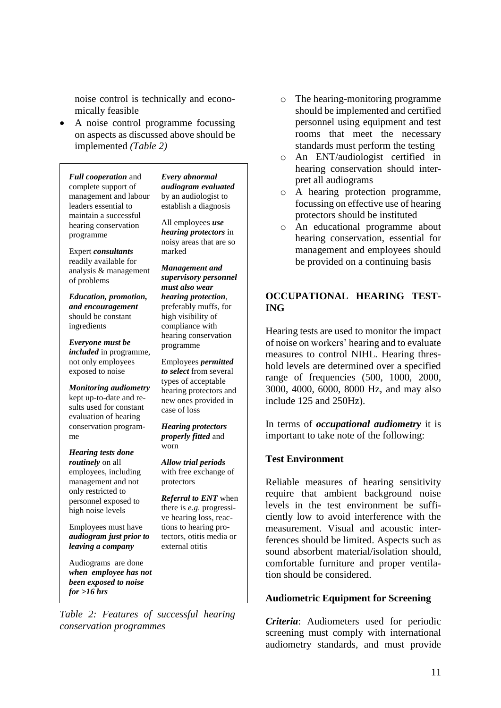noise control is technically and economically feasible

• A noise control programme focussing on aspects as discussed above should be implemented *(Table 2)*

*Full cooperation* and complete support of management and labour leaders essential to maintain a successful hearing conservation programme

*Every abnormal audiogram evaluated* by an audiologist to establish a diagnosis

All employees *use hearing protectors* in noisy areas that are so marked

Expert *consultants* readily available for analysis & management of problems

*Education, promotion, and encouragement* should be constant ingredients

*Everyone must be included* in programme, not only employees exposed to noise

*Monitoring audiometry* kept up-to-date and results used for constant evaluation of hearing conservation programme

*Hearing tests done routinely* on all employees, including management and not only restricted to personnel exposed to high noise levels

Employees must have *audiogram just prior to leaving a company*

Audiograms are done *when employee has not been exposed to noise for >16 hrs*

*Management and supervisory personnel must also wear hearing protection*, preferably muffs, for high visibility of compliance with hearing conservation programme

Employees *permitted to select* from several types of acceptable hearing protectors and new ones provided in case of loss

*Hearing protectors properly fitted* and worn

*Allow trial periods* with free exchange of protectors

*Referral to ENT* when there is *e.g.* progressive hearing loss, reactions to hearing protectors, otitis media or external otitis

*Table 2: Features of successful hearing conservation programmes*

- o The hearing-monitoring programme should be implemented and certified personnel using equipment and test rooms that meet the necessary standards must perform the testing
- o An ENT/audiologist certified in hearing conservation should interpret all audiograms
- o A hearing protection programme, focussing on effective use of hearing protectors should be instituted
- o An educational programme about hearing conservation, essential for management and employees should be provided on a continuing basis

# **OCCUPATIONAL HEARING TEST-ING**

Hearing tests are used to monitor the impact of noise on workers' hearing and to evaluate measures to control NIHL. Hearing threshold levels are determined over a specified range of frequencies (500, 1000, 2000, 3000, 4000, 6000, 8000 Hz, and may also include 125 and 250Hz).

In terms of *occupational audiometry* it is important to take note of the following:

#### **Test Environment**

Reliable measures of hearing sensitivity require that ambient background noise levels in the test environment be sufficiently low to avoid interference with the measurement. Visual and acoustic interferences should be limited. Aspects such as sound absorbent material/isolation should, comfortable furniture and proper ventilation should be considered.

#### **Audiometric Equipment for Screening**

*Criteria*: Audiometers used for periodic screening must comply with international audiometry standards, and must provide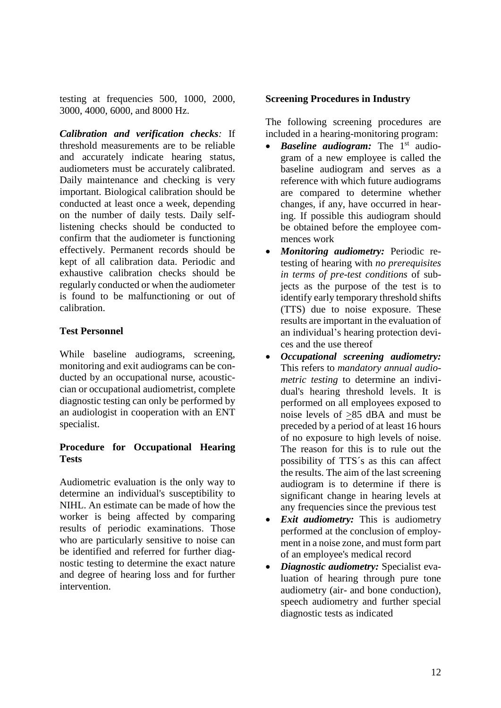testing at frequencies 500, 1000, 2000, 3000, 4000, 6000, and 8000 Hz.

*Calibration and verification checks:* If threshold measurements are to be reliable and accurately indicate hearing status, audiometers must be accurately calibrated. Daily maintenance and checking is very important. Biological calibration should be conducted at least once a week, depending on the number of daily tests. Daily selflistening checks should be conducted to confirm that the audiometer is functioning effectively. Permanent records should be kept of all calibration data. Periodic and exhaustive calibration checks should be regularly conducted or when the audiometer is found to be malfunctioning or out of calibration.

# **Test Personnel**

While baseline audiograms, screening, monitoring and exit audiograms can be conducted by an occupational nurse, acousticcian or occupational audiometrist, complete diagnostic testing can only be performed by an audiologist in cooperation with an ENT specialist.

## **Procedure for Occupational Hearing Tests**

Audiometric evaluation is the only way to determine an individual's susceptibility to NIHL. An estimate can be made of how the worker is being affected by comparing results of periodic examinations. Those who are particularly sensitive to noise can be identified and referred for further diagnostic testing to determine the exact nature and degree of hearing loss and for further intervention.

## **Screening Procedures in Industry**

The following screening procedures are included in a hearing-monitoring program:

- *Baseline audiogram:* The 1<sup>st</sup> audiogram of a new employee is called the baseline audiogram and serves as a reference with which future audiograms are compared to determine whether changes, if any, have occurred in hearing. If possible this audiogram should be obtained before the employee commences work
- *Monitoring audiometry:* Periodic retesting of hearing with *no prerequisites in terms of pre-test conditions* of subjects as the purpose of the test is to identify early temporary threshold shifts (TTS) due to noise exposure. These results are important in the evaluation of an individual's hearing protection devices and the use thereof
- *Occupational screening audiometry:* This refers to *mandatory annual audiometric testing* to determine an individual's hearing threshold levels. It is performed on all employees exposed to noise levels of >85 dBA and must be preceded by a period of at least 16 hours of no exposure to high levels of noise. The reason for this is to rule out the possibility of TTS´s as this can affect the results. The aim of the last screening audiogram is to determine if there is significant change in hearing levels at any frequencies since the previous test
- *Exit audiometry:* This is audiometry performed at the conclusion of employment in a noise zone, and must form part of an employee's medical record
- *Diagnostic audiometry:* Specialist evaluation of hearing through pure tone audiometry (air- and bone conduction), speech audiometry and further special diagnostic tests as indicated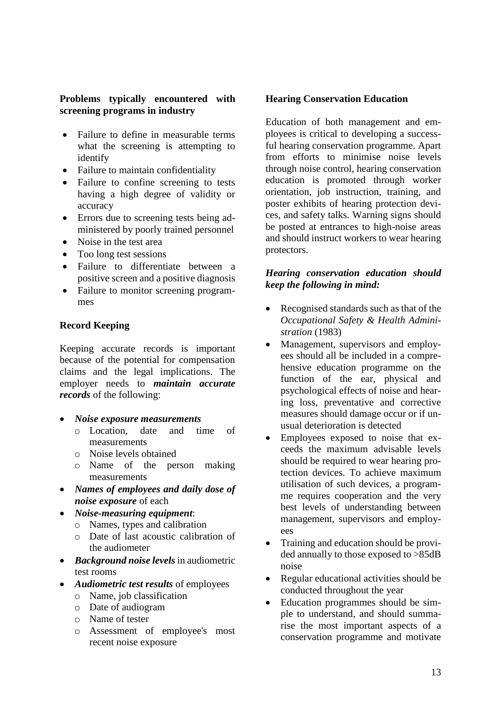## **Problems typically encountered with screening programs in industry**

- Failure to define in measurable terms what the screening is attempting to identify
- Failure to maintain confidentiality
- Failure to confine screening to tests having a high degree of validity or accuracy
- Errors due to screening tests being administered by poorly trained personnel
- Noise in the test area
- Too long test sessions
- Failure to differentiate between a positive screen and a positive diagnosis
- Failure to monitor screening programmes

## **Record Keeping**

Keeping accurate records is important because of the potential for compensation claims and the legal implications. The employer needs to *maintain accurate records* of the following:

- *Noise exposure measurements*
	- o Location, date and time of measurements
	- o Noise levels obtained
	- o Name of the person making measurements
- *Names of employees and daily dose of noise exposure* of each
- *Noise-measuring equipment*:
	- o Names, types and calibration
	- o Date of last acoustic calibration of the audiometer
- *Background noise levels* in audiometric test rooms
- *Audiometric test results* of employees
	- o Name, job classification
	- o Date of audiogram
	- o Name of tester
	- o Assessment of employee's most recent noise exposure

## **Hearing Conservation Education**

Education of both management and employees is critical to developing a successful hearing conservation programme. Apart from efforts to minimise noise levels through noise control, hearing conservation education is promoted through worker orientation, job instruction, training, and poster exhibits of hearing protection devices, and safety talks. Warning signs should be posted at entrances to high-noise areas and should instruct workers to wear hearing protectors.

## *Hearing conservation education should keep the following in mind:*

- Recognised standards such as that of the *Occupational Safety & Health Administration* (1983)
- Management, supervisors and employees should all be included in a comprehensive education programme on the function of the ear, physical and psychological effects of noise and hearing loss, preventative and corrective measures should damage occur or if unusual deterioration is detected
- Employees exposed to noise that exceeds the maximum advisable levels should be required to wear hearing protection devices. To achieve maximum utilisation of such devices, a programme requires cooperation and the very best levels of understanding between management, supervisors and employees
- Training and education should be provided annually to those exposed to >85dB noise
- Regular educational activities should be conducted throughout the year
- Education programmes should be simple to understand, and should summarise the most important aspects of a conservation programme and motivate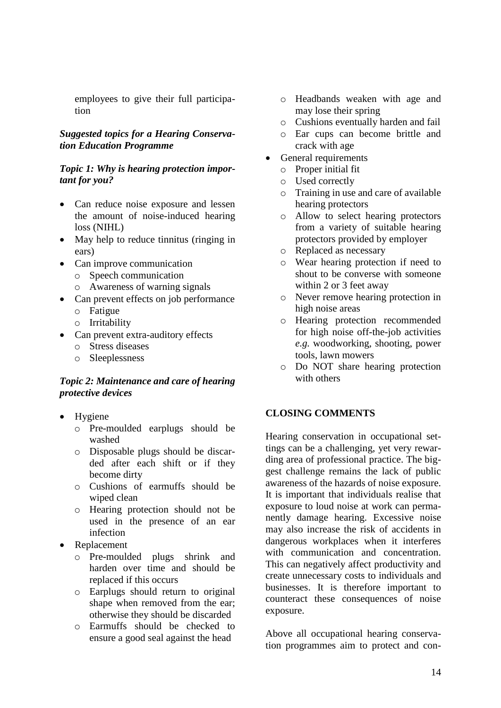employees to give their full participation

#### *Suggested topics for a Hearing Conservation Education Programme*

#### *Topic 1: Why is hearing protection important for you?*

- Can reduce noise exposure and lessen the amount of noise-induced hearing loss (NIHL)
- May help to reduce tinnitus (ringing in ears)
- Can improve communication
	- o Speech communication
	- o Awareness of warning signals
- Can prevent effects on job performance
	- o Fatigue
	- o Irritability
- Can prevent extra-auditory effects
	- o Stress diseases
	- o Sleeplessness

#### *Topic 2: Maintenance and care of hearing protective devices*

- Hygiene
	- o Pre-moulded earplugs should be washed
	- o Disposable plugs should be discarded after each shift or if they become dirty
	- o Cushions of earmuffs should be wiped clean
	- o Hearing protection should not be used in the presence of an ear infection
- **Replacement** 
	- o Pre-moulded plugs shrink and harden over time and should be replaced if this occurs
	- o Earplugs should return to original shape when removed from the ear; otherwise they should be discarded
	- o Earmuffs should be checked to ensure a good seal against the head
- o Headbands weaken with age and may lose their spring
- o Cushions eventually harden and fail
- o Ear cups can become brittle and crack with age
- General requirements
	- o Proper initial fit
	- o Used correctly
	- o Training in use and care of available hearing protectors
	- o Allow to select hearing protectors from a variety of suitable hearing protectors provided by employer
	- o Replaced as necessary
	- o Wear hearing protection if need to shout to be converse with someone within 2 or 3 feet away
	- o Never remove hearing protection in high noise areas
	- o Hearing protection recommended for high noise off-the-job activities *e.g.* woodworking, shooting, power tools, lawn mowers
	- o Do NOT share hearing protection with others

## **CLOSING COMMENTS**

Hearing conservation in occupational settings can be a challenging, yet very rewarding area of professional practice. The biggest challenge remains the lack of public awareness of the hazards of noise exposure. It is important that individuals realise that exposure to loud noise at work can permanently damage hearing. Excessive noise may also increase the risk of accidents in dangerous workplaces when it interferes with communication and concentration. This can negatively affect productivity and create unnecessary costs to individuals and businesses. It is therefore important to counteract these consequences of noise exposure.

Above all occupational hearing conservation programmes aim to protect and con